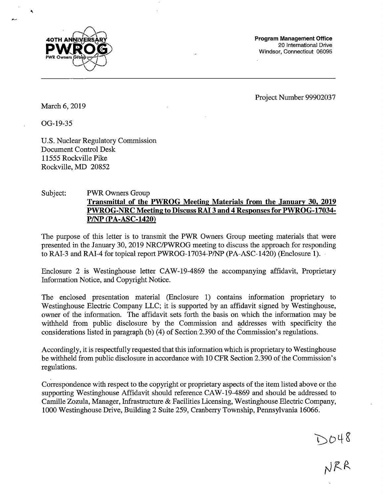

**Program Management Office**  20 International Drive Windsor, Connecticut 06095

Project Number 99902037

DO48<br>NRR

March 6, 2019

OG-19-35

U.S. Nuclear Regulatory Commission Document Control Desk 11555 Rockville Pike Rockville, MD 20852

## Subject: PWR Owners Group **Transmittal of the PWROG Meeting Materials from the January 302 2019 PWROG-NRC Meeting to Discuss RAI 3 and 4 Responses for PWROG-17034- P/NP (PA-ASC-1420)**

The purpose of this letter is to transmit the PWR Owners Group meeting materials that were presented in the January 30, 2019 NRC/PWROG meeting to discuss the approach for responding to RAI-3 and RAI-4 for topical report PWROG-17034-P/NP (PA-ASC-1420) (Enclosure 1). ·

Enclosure 2 is Westinghouse letter CAW-19-4869 the accompanying affidavit, Proprietary Information Notice, and Copyright Notice.

The enclosed presentation material (Enclosure 1) contains information proprietary to Westinghouse Electric Company LLC; it is supported by an affidavit signed by Westinghouse, owner of the information. The affidavit sets forth the basis on which the information may be withheld from public disclosure by the Commission and addresses with specificity the considerations listed in paragraph (b) (4) of Section 2.390 of the Commission's regulations.

Accordingly, it is respectfully requested that this information which is proprietary to Westinghouse be withheld from public disclosure in accordance with 10 CPR Section 2.390 of the Commission's regulations.

Correspondence with respect to the copyright or proprietary aspects of the item listed above or the supporting Westinghouse Affidavit should reference CA W-19-4869 and should be addressed to Camille Zozula, Manager, Infrastructure & Facilities Licensing, Westinghouse Electric Company, 1000 Westinghouse Drive, Building 2 Suite 259, Cranberry Township, Pennsylvania 16066.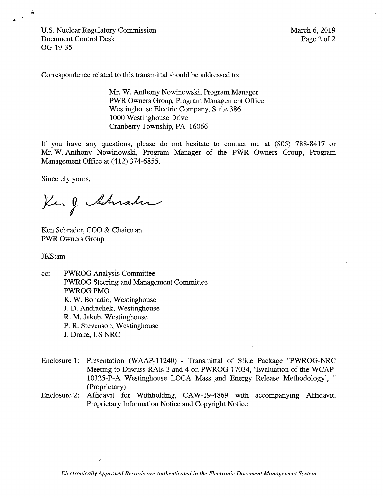U.S. Nuclear Regulatory Commission Document Control Desk OG-19-35

March 6, 2019 Page 2 of 2

Correspondence related to this transmittal should be addressed to:

**Mr. W.** Anthony Nowinowski, Program Manager **PWR** Owners Group, Program Management Office Westinghouse Electric Company, Suite 386 1000 Westinghouse Drive Cranberry Township, PA 16066

If you have any questions, please do not hesitate to contact me at (805) 788-8417 or Mr. W. Anthony Nowinowski, Program Manager of the PWR Owners Group, Program Management Office at (412) 374-6855.

Sincerely yours,

King Schrader

Ken Schrader, COO & Chairman PWR Owners Group

JKS:am

cc: PWROG Analysis Committee PWROG Steering and Management Committee PWROG PMO K. W. Bonadio, Westinghouse J. D. Andrachek, Westinghouse R. M. Jakub, Westinghouse P.R. Stevenson, Westinghouse J. Drake, US NRC

- Enclosure 1: Presentation (WAAP-11240) Transmittal of Slide Package "PWROG-NRC Meeting to Discuss RAis 3 and 4 on PWROG-17034, 'Evaluation of the WCAP-10325-P-A Westinghouse LOCA Mass and Energy Release Methodology', " (Proprietary)
- Enclosure 2: Affidavit for Withholding, CAW-19-4869 with accompanying Affidavit, Proprietary Information Notice and Copyright Notice

*Electronically Approved Records are Authenticated in the Electronic Document Management System*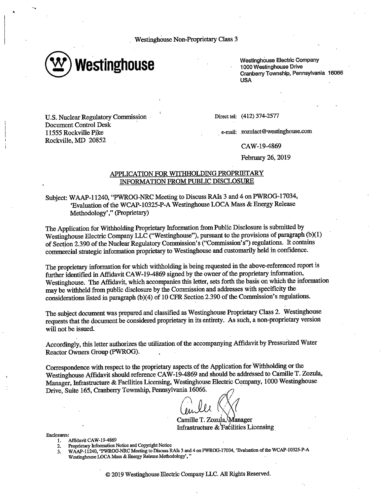Westinghouse Non-Proprietary Class 3



Westinghouse Electric Company 1000 Westinghouse Drive CranberryTownship, Pennsylvania 16066 **USA** 

U.S. Nuclear Regulatory Commission · Document Control Desk · 11555 Rockville Pike Rockville, MD 20852

Direct tel: (412) 374-2577

e-mail: zozulact@westinghouse.com

CAW-19-4869

February 26, 2019

### APPLICATION FOR WITHHOLDING PROPRIETARY INFORMATION FROM PUBLIC DISCLOSURE

Subject: W AAP-11240, "PWROG-NRC Meeting to Discuss RAis 3 and 4 on PWROG-17034, 'Evaluation of the WCAP-10325-P-A Westinghouse LOCA Mass & Energy Release Methodology'," (Proprietary)

The Application for Withholding Proprietary Information from Public Disclosure is submitted by Westinghouse Electric Company LLC ("Westinghouse"), pursuant to the provisions of paragraph (b)(l) of Section 2.390 of the Nuclear Regulatory Commission's ("Commission's") regulations. It contains commercial strategic information proprietary to Westinghouse and customarily held in confidence.

The proprietary information for which withholding is being requested in the above-referenced report is further identified in Affidavit CAW-19-4869 signed by the owner of the proprietary information, Westinghouse. The Affidavit, which accompanies this letter, sets forth the basis on which the information may be withheld from public disclosure by the Commission and addresses with specificity the considerations listed in paragraph (b)(4) of 10 CFR Section 2.390 of the Commission's regulations.

The subject document was prepared and classified as Westinghouse Proprietary Class 2. Westinghouse requests that the document be considered proprietary in its entirety. As such, a non-proprietary version will not be issued.

Accordingly, this letter authorizes the utilization of the accompanying Affidavit by Pressurized Water Reactor Owners Group (PWROG).

Correspondence with respect to the proprietary aspects. of the Application for Withholding or the Westinghouse Affidavit should reference CAW-19-4869 and should be addressed to Camille T. Zozula, Manager, Infrastructure & Facilities Licensing, Westinghouse Electric Company, 1000 Westinghouse Drive, Suite 165, Cranberry Township, Pennsylvania 16066.

*~(;,1 I* 

Camille T. Zozula, Manager Infrastructure  $&$  Facilities Licensing

Enclosures:

- 1. Affidavit CAW-19-4869
- 2. Proprietary Information Notice and Copyright Notice

3. W AAP-11240, ''PWROG-NRC Meeting to Discuss RAis 3 and 4 on PWROG-17034, 'Evaluation of the WCAP-10325-P-A Westinghouse LOCA Mass & Energy Release Methodology', "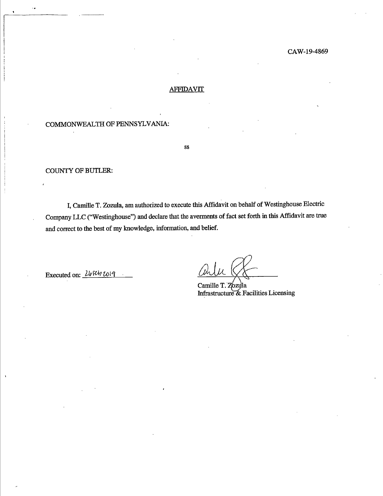#### CAW-19-4869

### **AFFIDAVIT**

# COMMONWEALTH OF PENNSYLVANIA:

ss

### COUNTY OF BUTLER:

I, Camille T. Zozula, am authorized to execute this Affidavit on behalf of Westinghouse Electric Company LLC ("Westinghouse") and declare that the averments of fact set forth in this Affidavit are true and correct to the best of my knowledge, information, and belief.

Executed on: *<u>268401019</u>* 

/ Mr

Camille T. Zozulla Infrastructure & Facilities Licensing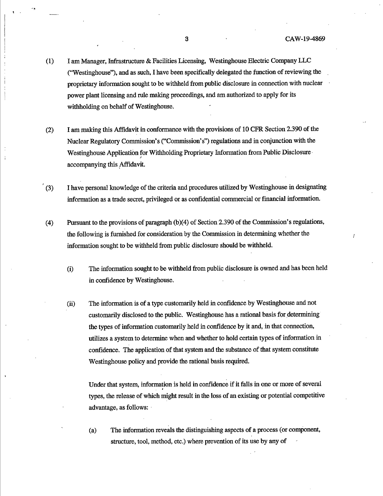- (1) I am Manager, Infrastructure & Facilities Licensing, Westinghouse Electric Company LLC ("Westinghouse"), and as such, I have been specifically delegated the function of reviewing the proprietary information sought to be withheld from public disclosure in connection with nuclear power plant licensing and rule making proceedings, and am authorized to apply for its withholding on behalf of Westinghouse.
- (2) I am making this Affidavit in conformance with the provisions of 10 CFR Section 2.390 of the Nuclear Regulatory Commission's ("Commission's") regulations and in conjunction with the Westinghouse Application for Withholding Proprietary Information from Public Disclosure accompanying this Affidavit.
- (3) I have personal knowledge of the criteria and procedures utilized by Westinghouse in designating information as a trade secret, privileged or as confidential commercial or financial information.
- (4) Pursuant to the provisions of paragraph  $(b)(4)$  of Section 2.390 of the Commission's regulations, the following is furnished for consideration by the Commission in determining whether the information sought to be withheld from public disclosure should be withheld.
	- (i) The information sought to be withheld from public disclosure is owned and has been held in confidence by Westinghouse.
	- (ii) The information is of a type customarily held in confidence by Westinghouse and not customarily disclosed to the public. Westinghouse has a rational basis for determining the types of information customarily held in confidence by it and, in that connection, utilizes a system to determine when and whether to hold certain types of information in confidence. The application of that system and the substance of that system constitute Westinghouse policy and provide the rational basis required.

Under that system, information is held in confidence if it falls in one or more of several types, the release of which might result in the loss of an existing or potential competitive advantage, as follows:

(a) The information reveals the distinguishing aspects of a process (or component, structure, tool, method, etc.) where prevention of its use by any of

t '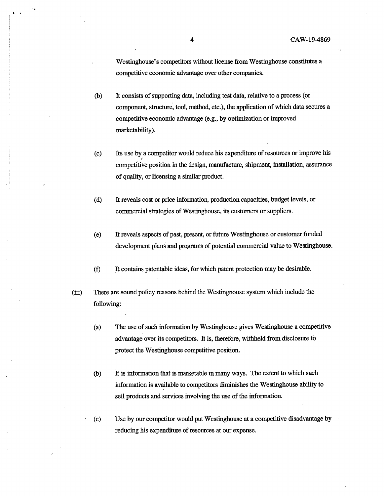Westinghouse's competitors without license from Westinghouse constitutes a competitive economic advantage over other companies.

- (b) It consists of supporting data, including test data, relative to a process ( or component, structure, tool, method, etc.), the application of which data secures a competitive economic advantage (e.g., by optimization or improved marketability).
- ( c) Its use by a competitor would reduce his expenditure of resources or improve his ʻ competitive position in the design, manufacture, shipment, installation, assurance of quality, or licensing a similar product.
- ( d) It reveals cost or price information, production capacities, budget levels, or commercial strategies of Westinghouse, its customers or suppliers.
- (e) It reveals aspects of past, present, or future Westinghouse or customer funded development plans and programs of potential commercial value to Westinghouse.
- (f) It contains patentable ideas, for which patent protection may be desirable.
- (iii) There are sound policy reasons behind the Westinghouse system which include the following:
	- (a) The use of such information by Westinghouse gives Westinghouse a competitive advantage over its competitors. It is, therefore, withheld from disclosure to protect the Westinghouse competitive position.
	- (b) It is information that is marketable in many ways. The extent to which such information is available to competitors diminishes the Westinghouse ability to sell products and services involving the use of the information.
	- (c) Use by our.competitor would put Westinghouse at a competitive disadvantage by reducing his expenditure of resources at our expense.

l •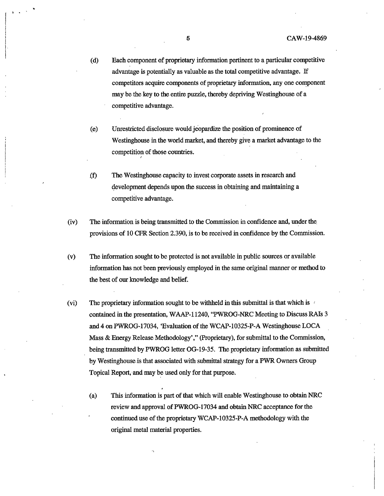- ( d) Each component of proprietary information pertinent to a particular competitive advantage is potentially as valuable as the total competitive advantage. If competitors acquire components of proprietary information, any one component may be the key to the entire puzzle, thereby depriving Westinghouse of a competitive advantage.
- (e) Unrestricted disclosure would jeopardize the position of prominence of Westinghouse in the world market, and thereby give a market advantage to the competition of those countries.
- .(f) The Westinghouse capacity to invest corporate assets in research and development depends upon the success in obtaining and maintaining a competitive advantage.

*I* 

- (iv) The information is being transmitted to the Commission in confidence and, under the provisions of 10 CFR Section 2.390, is to be received in confidence by the Commission.
- (v) The information sought to be protected is not available in public sources or available information has not been previously employed in the same original manner or method to the best of our knowledge and belief.
- (vi) The proprietary information sought to be withheld in this submittal is that which is contained in the presentation, WAAP-11240, "PWROG-NRC Meeting to DiscussRAis 3 and 4 on PWROG-17034, 'Evaluation of the WCAP-10325-P-A Westinghouse LOCA Mass & Energy Release Methodology'," (Proprietary), for submittal to the Commission, being transmitted by PWROG letter OG-19-35. The proprietary information as submitted by Westinghouse is that associated with submittal strategy for a PWR Owners Group Topical Report, and may be used only for that purpose.
	- (a) This information is part of that which will enable Westinghouse to obtain NRC review and approval of PWROG-17034 and obtain NRC acceptance for the continued use of the proprietary WCAP-10325-P-A methodology with the original metal material properties.

. . '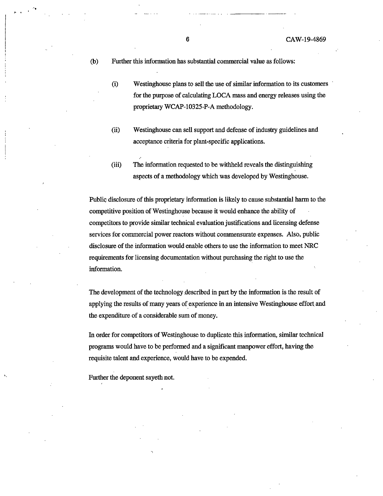(b) Further this information has substantial commercial value as follows:

.-. .. . . ------. -·-----

- (i) Westinghouse plans to sell the use of similar information to its customers for the purpose of calculating LOCA mass and energy releases using the proprietary WCAP-10325-P-A methodology.
- (ii) Westinghouse can sell support and defense of industry guidelines and acceptance criteria for plant-specific applications.
- (iii) The information requested to be withheld reveals the distinguishing aspects of a methodology which was developed by Westinghouse.

Public disclosure of this proprietary information is likely to cause substantial harm to the competitive position of Westinghouse because it would enhance the ability of competitors to provide similar technical evaluation justifications and licensing defense services for commercial power reactors without commensurate expenses. Also, public disclosure of the information would enable others to use the information to meet NRC requirements for licensing documentation without purchasing the right to use the information.

The development of the technology described in part by the information is the result of applying the results of many years of experience in an intensive Westinghouse effort and the expenditure of a considerable sum of money.

In order for competitors of Westinghouse to duplicate this information, similar technical programs would have to be performed and a significant manpower effort, having the requisite talent and experience, would have to be expended.

Further the deponent sayeth not.